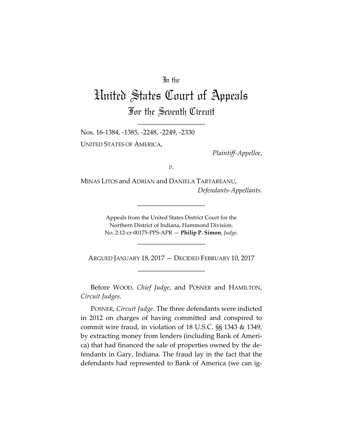## In the

## United States Court of Appeals For the Seventh Circuit

\_\_\_\_\_\_\_\_\_\_\_\_\_\_\_\_\_\_\_\_

Nos. 16-1384, -1385, -2248, -2249, -2330 UNITED STATES OF AMERICA,

*Plaintiff-Appellee*,

*v.*

MINAS LITOS and ADRIAN and DANIELA TARTAREANU, *Defendants-Appellants*.

> Appeals from the United States District Court for the Northern District of Indiana, Hammond Division. No. 2:12-cr-00175-PPS-APR — **Philip P. Simon**, *Judge*.

> > \_\_\_\_\_\_\_\_\_\_\_\_\_\_\_\_\_\_\_\_

\_\_\_\_\_\_\_\_\_\_\_\_\_\_\_\_\_\_\_\_

ARGUED JANUARY 18, 2017 — DECIDED FEBRUARY 10, 2017 \_\_\_\_\_\_\_\_\_\_\_\_\_\_\_\_\_\_\_\_

Before WOOD, *Chief Judge*, and POSNER and HAMILTON, *Circuit Judges*.

POSNER, *Circuit Judge*. The three defendants were indicted in 2012 on charges of having committed and conspired to commit wire fraud, in violation of 18 U.S.C. §§ 1343 & 1349, by extracting money from lenders (including Bank of America) that had financed the sale of properties owned by the defendants in Gary, Indiana. The fraud lay in the fact that the defendants had represented to Bank of America (we can ig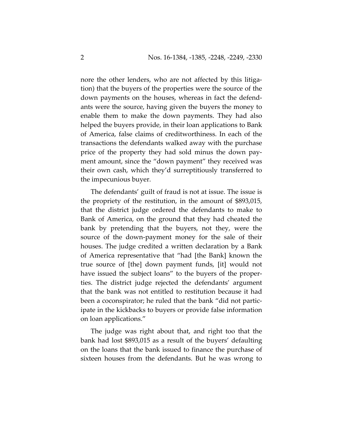nore the other lenders, who are not affected by this litigation) that the buyers of the properties were the source of the down payments on the houses, whereas in fact the defendants were the source, having given the buyers the money to enable them to make the down payments. They had also helped the buyers provide, in their loan applications to Bank of America, false claims of creditworthiness. In each of the transactions the defendants walked away with the purchase price of the property they had sold minus the down payment amount, since the "down payment" they received was their own cash, which they'd surreptitiously transferred to the impecunious buyer.

The defendants' guilt of fraud is not at issue. The issue is the propriety of the restitution, in the amount of \$893,015, that the district judge ordered the defendants to make to Bank of America, on the ground that they had cheated the bank by pretending that the buyers, not they, were the source of the down-payment money for the sale of their houses. The judge credited a written declaration by a Bank of America representative that "had [the Bank] known the true source of [the] down payment funds, [it] would not have issued the subject loans" to the buyers of the properties. The district judge rejected the defendants' argument that the bank was not entitled to restitution because it had been a coconspirator; he ruled that the bank "did not participate in the kickbacks to buyers or provide false information on loan applications."

The judge was right about that, and right too that the bank had lost \$893,015 as a result of the buyers' defaulting on the loans that the bank issued to finance the purchase of sixteen houses from the defendants. But he was wrong to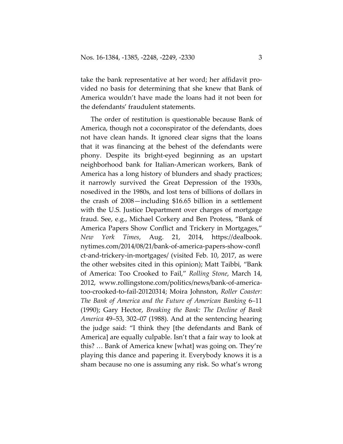take the bank representative at her word; her affidavit provided no basis for determining that she knew that Bank of America wouldn't have made the loans had it not been for the defendants' fraudulent statements.

The order of restitution is questionable because Bank of America, though not a coconspirator of the defendants, does not have clean hands. It ignored clear signs that the loans that it was financing at the behest of the defendants were phony. Despite its bright-eyed beginning as an upstart neighborhood bank for Italian-American workers, Bank of America has a long history of blunders and shady practices; it narrowly survived the Great Depression of the 1930s, nosedived in the 1980s, and lost tens of billions of dollars in the crash of 2008—including \$16.65 billion in a settlement with the U.S. Justice Department over charges of mortgage fraud. See, e.g., Michael Corkery and Ben Protess, "Bank of America Papers Show Conflict and Trickery in Mortgages," *New York Times*, Aug. 21, 2014, https://dealbook. nytimes.com/2014/08/21/bank-of-america-papers-show-confl ct-and-trickery-in-mortgages/ (visited Feb. 10, 2017, as were the other websites cited in this opinion); Matt Taibbi, "Bank of America: Too Crooked to Fail," *Rolling Stone*, March 14, 2012, www.rollingstone.com/politics/news/bank-of-americatoo-crooked-to-fail-20120314; Moira Johnston, *Roller Coaster: The Bank of America and the Future of American Banking* 6–11 (1990); Gary Hector, *Breaking the Bank: The Decline of Bank America* 49–53, 302–07 (1988). And at the sentencing hearing the judge said: "I think they [the defendants and Bank of America] are equally culpable. Isn't that a fair way to look at this? … Bank of America knew [what] was going on. They're playing this dance and papering it. Everybody knows it is a sham because no one is assuming any risk. So what's wrong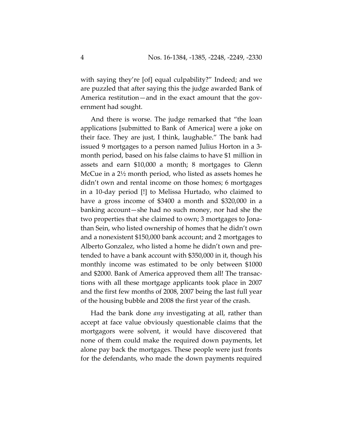with saying they're [of] equal culpability?" Indeed; and we are puzzled that after saying this the judge awarded Bank of America restitution—and in the exact amount that the government had sought.

And there is worse. The judge remarked that "the loan applications [submitted to Bank of America] were a joke on their face. They are just, I think, laughable." The bank had issued 9 mortgages to a person named Julius Horton in a 3 month period, based on his false claims to have \$1 million in assets and earn \$10,000 a month; 8 mortgages to Glenn McCue in a 2½ month period, who listed as assets homes he didn't own and rental income on those homes; 6 mortgages in a 10-day period [!] to Melissa Hurtado, who claimed to have a gross income of \$3400 a month and \$320,000 in a banking account—she had no such money, nor had she the two properties that she claimed to own; 3 mortgages to Jonathan Sein, who listed ownership of homes that he didn't own and a nonexistent \$150,000 bank account; and 2 mortgages to Alberto Gonzalez, who listed a home he didn't own and pretended to have a bank account with \$350,000 in it, though his monthly income was estimated to be only between \$1000 and \$2000. Bank of America approved them all! The transactions with all these mortgage applicants took place in 2007 and the first few months of 2008, 2007 being the last full year of the housing bubble and 2008 the first year of the crash.

Had the bank done *any* investigating at all, rather than accept at face value obviously questionable claims that the mortgagors were solvent, it would have discovered that none of them could make the required down payments, let alone pay back the mortgages. These people were just fronts for the defendants, who made the down payments required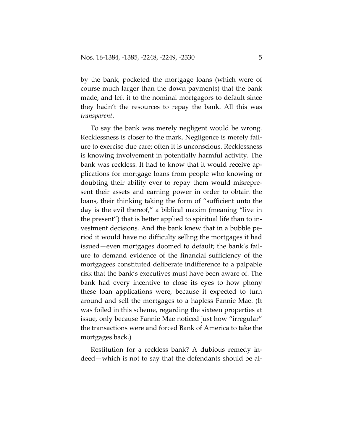by the bank, pocketed the mortgage loans (which were of course much larger than the down payments) that the bank made, and left it to the nominal mortgagors to default since they hadn't the resources to repay the bank. All this was *transparent*.

To say the bank was merely negligent would be wrong. Recklessness is closer to the mark. Negligence is merely failure to exercise due care; often it is unconscious. Recklessness is knowing involvement in potentially harmful activity. The bank was reckless. It had to know that it would receive applications for mortgage loans from people who knowing or doubting their ability ever to repay them would misrepresent their assets and earning power in order to obtain the loans, their thinking taking the form of "sufficient unto the day is the evil thereof," a biblical maxim (meaning "live in the present") that is better applied to spiritual life than to investment decisions. And the bank knew that in a bubble period it would have no difficulty selling the mortgages it had issued—even mortgages doomed to default; the bank's failure to demand evidence of the financial sufficiency of the mortgagees constituted deliberate indifference to a palpable risk that the bank's executives must have been aware of. The bank had every incentive to close its eyes to how phony these loan applications were, because it expected to turn around and sell the mortgages to a hapless Fannie Mae. (It was foiled in this scheme, regarding the sixteen properties at issue, only because Fannie Mae noticed just how "irregular" the transactions were and forced Bank of America to take the mortgages back.)

Restitution for a reckless bank? A dubious remedy indeed—which is not to say that the defendants should be al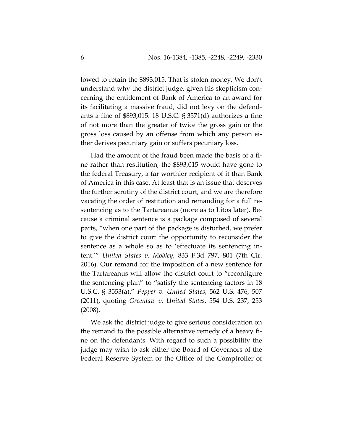lowed to retain the \$893,015. That is stolen money. We don't understand why the district judge, given his skepticism concerning the entitlement of Bank of America to an award for its facilitating a massive fraud, did not levy on the defendants a fine of \$893,015. 18 U.S.C. § 3571(d) authorizes a fine of not more than the greater of twice the gross gain or the gross loss caused by an offense from which any person either derives pecuniary gain or suffers pecuniary loss.

Had the amount of the fraud been made the basis of a fine rather than restitution, the \$893,015 would have gone to the federal Treasury, a far worthier recipient of it than Bank of America in this case. At least that is an issue that deserves the further scrutiny of the district court, and we are therefore vacating the order of restitution and remanding for a full resentencing as to the Tartareanus (more as to Litos later). Because a criminal sentence is a package composed of several parts, "when one part of the package is disturbed, we prefer to give the district court the opportunity to reconsider the sentence as a whole so as to 'effectuate its sentencing intent.'" *United States v. Mobley*, 833 F.3d 797, 801 (7th Cir. 2016). Our remand for the imposition of a new sentence for the Tartareanus will allow the district court to "reconfigure the sentencing plan" to "satisfy the sentencing factors in 18 U.S.C. § 3553(a)." *Pepper v. United States*, 562 U.S. 476, 507 (2011), quoting *Greenlaw v. United States*, 554 U.S. 237, 253 (2008).

We ask the district judge to give serious consideration on the remand to the possible alternative remedy of a heavy fine on the defendants. With regard to such a possibility the judge may wish to ask either the Board of Governors of the Federal Reserve System or the Office of the Comptroller of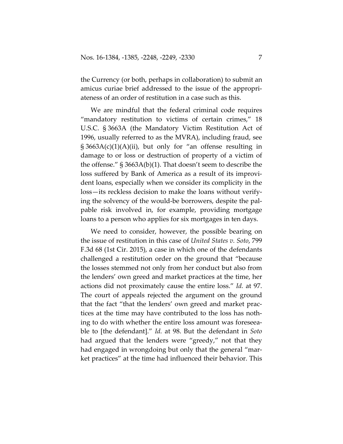the Currency (or both, perhaps in collaboration) to submit an amicus curiae brief addressed to the issue of the appropriateness of an order of restitution in a case such as this.

We are mindful that the federal criminal code requires "mandatory restitution to victims of certain crimes," 18 U.S.C. § 3663A (the Mandatory Victim Restitution Act of 1996, usually referred to as the MVRA), including fraud, see  $\S 3663A(c)(1)(A)(ii)$ , but only for "an offense resulting in damage to or loss or destruction of property of a victim of the offense." § 3663A(b)(1). That doesn't seem to describe the loss suffered by Bank of America as a result of its improvident loans, especially when we consider its complicity in the loss—its reckless decision to make the loans without verifying the solvency of the would-be borrowers, despite the palpable risk involved in, for example, providing mortgage loans to a person who applies for six mortgages in ten days.

We need to consider, however, the possible bearing on the issue of restitution in this case of *United States v. Soto*, 799 F.3d 68 (1st Cir. 2015), a case in which one of the defendants challenged a restitution order on the ground that "because the losses stemmed not only from her conduct but also from the lenders' own greed and market practices at the time, her actions did not proximately cause the entire loss." *Id.* at 97. The court of appeals rejected the argument on the ground that the fact "that the lenders' own greed and market practices at the time may have contributed to the loss has nothing to do with whether the entire loss amount was foreseeable to [the defendant]." *Id.* at 98. But the defendant in *Soto* had argued that the lenders were "greedy," not that they had engaged in wrongdoing but only that the general "market practices" at the time had influenced their behavior. This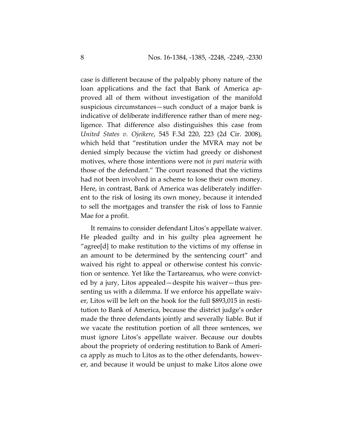case is different because of the palpably phony nature of the loan applications and the fact that Bank of America approved all of them without investigation of the manifold suspicious circumstances—such conduct of a major bank is indicative of deliberate indifference rather than of mere negligence. That difference also distinguishes this case from *United States v. Ojeikere*, 545 F.3d 220, 223 (2d Cir. 2008), which held that "restitution under the MVRA may not be denied simply because the victim had greedy or dishonest motives, where those intentions were not *in pari materia* with those of the defendant." The court reasoned that the victims had not been involved in a scheme to lose their own money. Here, in contrast, Bank of America was deliberately indifferent to the risk of losing its own money, because it intended to sell the mortgages and transfer the risk of loss to Fannie Mae for a profit.

It remains to consider defendant Litos's appellate waiver. He pleaded guilty and in his guilty plea agreement he "agree[d] to make restitution to the victims of my offense in an amount to be determined by the sentencing court" and waived his right to appeal or otherwise contest his conviction or sentence. Yet like the Tartareanus, who were convicted by a jury, Litos appealed—despite his waiver—thus presenting us with a dilemma. If we enforce his appellate waiver, Litos will be left on the hook for the full \$893,015 in restitution to Bank of America, because the district judge's order made the three defendants jointly and severally liable. But if we vacate the restitution portion of all three sentences, we must ignore Litos's appellate waiver. Because our doubts about the propriety of ordering restitution to Bank of America apply as much to Litos as to the other defendants, however, and because it would be unjust to make Litos alone owe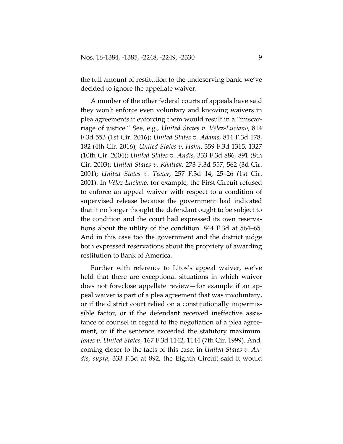the full amount of restitution to the undeserving bank, we've decided to ignore the appellate waiver.

A number of the other federal courts of appeals have said they won't enforce even voluntary and knowing waivers in plea agreements if enforcing them would result in a "miscarriage of justice." See, e.g., *United States v. Vélez-Luciano*, 814 F.3d 553 (1st Cir. 2016); *United States v. Adams*, 814 F.3d 178, 182 (4th Cir. 2016); *United States v. Hahn*, 359 F.3d 1315, 1327 (10th Cir. 2004); *United States v. Andis*, 333 F.3d 886, 891 (8th Cir. 2003); *United States v. Khattak*, 273 F.3d 557, 562 (3d Cir. 2001); *United States v. Teeter*, 257 F.3d 14, 25–26 (1st Cir. 2001). In *Vélez-Luciano*, for example, the First Circuit refused to enforce an appeal waiver with respect to a condition of supervised release because the government had indicated that it no longer thought the defendant ought to be subject to the condition and the court had expressed its own reservations about the utility of the condition. 844 F.3d at 564–65. And in this case too the government and the district judge both expressed reservations about the propriety of awarding restitution to Bank of America.

Further with reference to Litos's appeal waiver, we've held that there are exceptional situations in which waiver does not foreclose appellate review—for example if an appeal waiver is part of a plea agreement that was involuntary, or if the district court relied on a constitutionally impermissible factor, or if the defendant received ineffective assistance of counsel in regard to the negotiation of a plea agreement, or if the sentence exceeded the statutory maximum. *Jones v. United States*, 167 F.3d 1142, 1144 (7th Cir. 1999). And, coming closer to the facts of this case, in *United States v. Andis*, *supra*, 333 F.3d at 892, the Eighth Circuit said it would